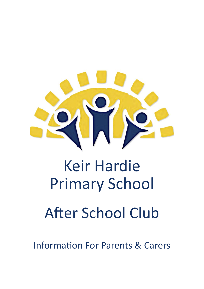

# Keir Hardie Primary School

# After School Club

Information For Parents & Carers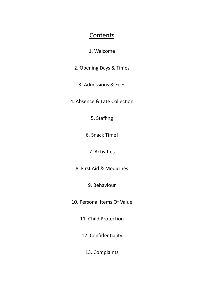#### **Contents**

#### 1. Welcome

- 2. Opening Days & Times
	- 3. Admissions & Fees
- 4. Absence & Late Collection
	- 5. Staffing
	- 6. Snack Time!
		- 7. Activities
	- 8. First Aid & Medicines
		- 9. Behaviour
- 10. Personal Items Of Value
	- 11. Child Protection
	- 12. Confidentiality
		- 13. Complaints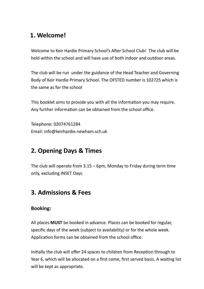# **1. Welcome!**

Welcome to Keir Hardie Primary School's After School Club! The club will be held within the school and will have use of both indoor and outdoor areas.

The club will be run under the guidance of the Head Teacher and Governing Body of Keir Hardie Primary School. The OFSTED number is 102725 which is the same as for the school

This booklet aims to provide you with all the information you may require. Any further information can be obtained from the school office.

Telephone: 02074761284 Email: info@keirhardie.newham.sch.uk

#### **2. Opening Days & Times**

The club will operate from 3.15 – 6pm, Monday to Friday during term time only, excluding INSET Days.

#### **3. Admissions & Fees**

#### **Booking:**

All places **MUST** be booked in advance. Places can be booked for regular, specific days of the week (subject to availability) or for the whole week. Application forms can be obtained from the school office.

Initially the club will offer 24 spaces to children from Reception through to Year 6, which will be allocated on a first come, first served basis. A waiting list will be kept as appropriate.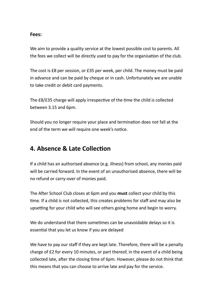#### **Fees:**

We aim to provide a quality service at the lowest possible cost to parents. All the fees we collect will be directly used to pay for the organisation of the club.

The cost is £8 per session, or £35 per week, per child. The money must be paid in advance and can be paid by cheque or in cash. Unfortunately we are unable to take credit or debit card payments.

The £8/£35 charge will apply irrespective of the time the child is collected between 3.15 and 6pm.

Should you no longer require your place and termination does not fall at the end of the term we will require one week's notice.

#### **4. Absence & Late Collection**

If a child has an authorised absence (e.g. illness) from school, any monies paid will be carried forward. In the event of an unauthorised absence, there will be no refund or carry-over of monies paid.

The After School Club closes at 6pm and you **must** collect your child by this time. If a child is not collected, this creates problems for staff and may also be upsetting for your child who will see others going home and begin to worry.

We do understand that there sometimes can be unavoidable delays so it is essential that you let us know if you are delayed

We have to pay our staff if they are kept late. Therefore, there will be a penalty charge of £2 for every 10 minutes, or part thereof, in the event of a child being collected late, after the closing time of 6pm. However, please do not think that this means that you can choose to arrive late and pay for the service.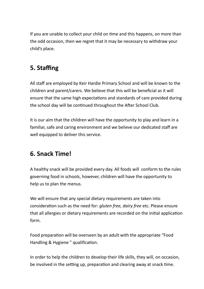If you are unable to collect your child on time and this happens, on more than the odd occasion, then we regret that it may be necessary to withdraw your child's place.

# **5. Staffing**

All staff are employed by Keir Hardie Primary School and will be known to the children and parent/carers. We believe that this will be beneficial as it will ensure that the same high expectations and standards of care provided during the school day will be continued throughout the After School Club.

It is our aim that the children will have the opportunity to play and learn in a familiar, safe and caring environment and we believe our dedicated staff are well equipped to deliver this service.

#### **6. Snack Time!**

A healthy snack will be provided every day. All foods will conform to the rules governing food in schools, however, children will have the opportunity to help us to plan the menus.

We will ensure that any special dietary requirements are taken into consideration such as the need for: *gluten free, dairy free* etc. Please ensure that all allergies or dietary requirements are recorded on the initial application form.

Food preparation will be overseen by an adult with the appropriate "Food Handling & Hygiene " qualification.

In order to help the children to develop their life skills, they will, on occasion, be involved in the setting up, preparation and clearing away at snack time.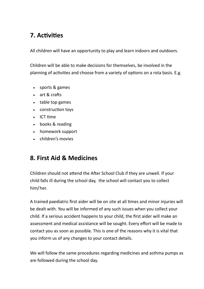# **7. Activities**

All children will have an opportunity to play and learn indoors and outdoors.

Children will be able to make decisions for themselves, be involved in the planning of activities and choose from a variety of options on a rota basis. E.g.

- sports & games
- art & crafts
- table top games
- construction toys
- $\cdot$  ICT time
- books & reading
- homework support
- children's movies

#### **8. First Aid & Medicines**

Children should not attend the After School Club if they are unwell. If your child falls ill during the school day, the school will contact you to collect him/her.

A trained paediatric first aider will be on site at all times and minor injuries will be dealt with. You will be informed of any such issues when you collect your child. If a serious accident happens to your child, the first aider will make an assessment and medical assistance will be sought. Every effort will be made to contact you as soon as possible. This is one of the reasons why it is vital that you inform us of any changes to your contact details.

We will follow the same procedures regarding medicines and asthma pumps as are followed during the school day.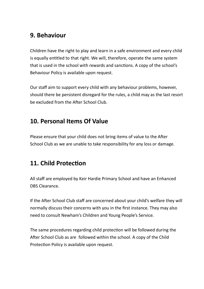#### **9. Behaviour**

Children have the right to play and learn in a safe environment and every child is equally entitled to that right. We will, therefore, operate the same system that is used in the school with rewards and sanctions. A copy of the school's Behaviour Policy is available upon request.

Our staff aim to support every child with any behaviour problems, however, should there be persistent disregard for the rules, a child may as the last resort be excluded from the After School Club.

#### **10. Personal Items Of Value**

Please ensure that your child does not bring items of value to the After School Club as we are unable to take responsibility for any loss or damage.

## **11. Child Protection**

All staff are employed by Keir Hardie Primary School and have an Enhanced DBS Clearance.

If the After School Club staff are concerned about your child's welfare they will normally discuss their concerns with you in the first instance. They may also need to consult Newham's Children and Young People's Service.

The same procedures regarding child protection will be followed during the After School Club as are followed within the school. A copy of the Child Protection Policy is available upon request.